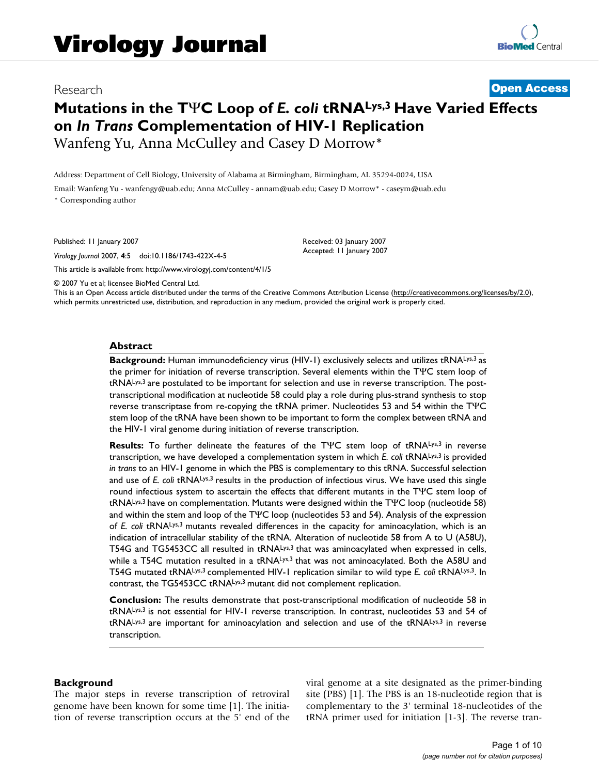# Research **[Open Access](http://www.biomedcentral.com/info/about/charter/)**

# **Mutations in the T**Ψ**C Loop of** *E. coli* **tRNALys,3 Have Varied Effects on** *In Trans* **Complementation of HIV-1 Replication** Wanfeng Yu, Anna McCulley and Casey D Morrow\*

Address: Department of Cell Biology, University of Alabama at Birmingham, Birmingham, AL 35294-0024, USA

Email: Wanfeng Yu - wanfengy@uab.edu; Anna McCulley - annam@uab.edu; Casey D Morrow\* - caseym@uab.edu \* Corresponding author

Published: 11 January 2007

*Virology Journal* 2007, **4**:5 doi:10.1186/1743-422X-4-5

[This article is available from: http://www.virologyj.com/content/4/1/5](http://www.virologyj.com/content/4/1/5)

© 2007 Yu et al; licensee BioMed Central Ltd.

This is an Open Access article distributed under the terms of the Creative Commons Attribution License [\(http://creativecommons.org/licenses/by/2.0\)](http://creativecommons.org/licenses/by/2.0), which permits unrestricted use, distribution, and reproduction in any medium, provided the original work is properly cited.

Received: 03 January 2007 Accepted: 11 January 2007

#### **Abstract**

Background: Human immunodeficiency virus (HIV-1) exclusively selects and utilizes tRNALys,3 as the primer for initiation of reverse transcription. Several elements within the TΨC stem loop of tRNALys,3 are postulated to be important for selection and use in reverse transcription. The posttranscriptional modification at nucleotide 58 could play a role during plus-strand synthesis to stop reverse transcriptase from re-copying the tRNA primer. Nucleotides 53 and 54 within the TΨC stem loop of the tRNA have been shown to be important to form the complex between tRNA and the HIV-1 viral genome during initiation of reverse transcription.

**Results:** To further delineate the features of the TΨC stem loop of tRNALys,3 in reverse transcription, we have developed a complementation system in which *E. coli* tRNALys,3 is provided *in trans* to an HIV-1 genome in which the PBS is complementary to this tRNA. Successful selection and use of *E. coli* tRNA<sup>Lys,3</sup> results in the production of infectious virus. We have used this single round infectious system to ascertain the effects that different mutants in the TΨC stem loop of tRNALys,3 have on complementation. Mutants were designed within the TΨC loop (nucleotide 58) and within the stem and loop of the TΨC loop (nucleotides 53 and 54). Analysis of the expression of *E. coli* tRNALys,3 mutants revealed differences in the capacity for aminoacylation, which is an indication of intracellular stability of the tRNA. Alteration of nucleotide 58 from A to U (A58U), T54G and TG5453CC all resulted in tRNALys,3 that was aminoacylated when expressed in cells, while a T54C mutation resulted in a tRNALys,3 that was not aminoacylated. Both the A58U and T54G mutated tRNALys,3 complemented HIV-1 replication similar to wild type *E. coli* tRNALys,3. In contrast, the TG5453CC tRNALys,3 mutant did not complement replication.

**Conclusion:** The results demonstrate that post-transcriptional modification of nucleotide 58 in tRNALys,3 is not essential for HIV-1 reverse transcription. In contrast, nucleotides 53 and 54 of tRNALys,3 are important for aminoacylation and selection and use of the tRNALys,3 in reverse transcription.

#### **Background**

The major steps in reverse transcription of retroviral genome have been known for some time [1]. The initiation of reverse transcription occurs at the 5' end of the viral genome at a site designated as the primer-binding site (PBS) [1]. The PBS is an 18-nucleotide region that is complementary to the 3' terminal 18-nucleotides of the tRNA primer used for initiation [1-3]. The reverse tran-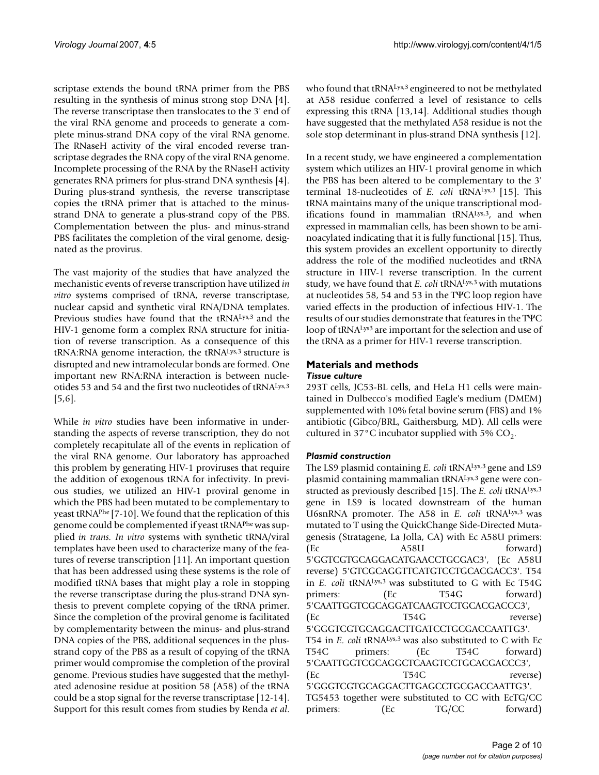scriptase extends the bound tRNA primer from the PBS resulting in the synthesis of minus strong stop DNA [4]. The reverse transcriptase then translocates to the 3' end of the viral RNA genome and proceeds to generate a complete minus-strand DNA copy of the viral RNA genome. The RNaseH activity of the viral encoded reverse transcriptase degrades the RNA copy of the viral RNA genome. Incomplete processing of the RNA by the RNaseH activity generates RNA primers for plus-strand DNA synthesis [4]. During plus-strand synthesis, the reverse transcriptase copies the tRNA primer that is attached to the minusstrand DNA to generate a plus-strand copy of the PBS. Complementation between the plus- and minus-strand PBS facilitates the completion of the viral genome, designated as the provirus.

The vast majority of the studies that have analyzed the mechanistic events of reverse transcription have utilized *in vitro* systems comprised of tRNA, reverse transcriptase, nuclear capsid and synthetic viral RNA/DNA templates. Previous studies have found that the tRNALys,<sup>3</sup> and the HIV-1 genome form a complex RNA structure for initiation of reverse transcription. As a consequence of this tRNA:RNA genome interaction, the tRNALys,3 structure is disrupted and new intramolecular bonds are formed. One important new RNA:RNA interaction is between nucleotides 53 and 54 and the first two nucleotides of tRNALys,3 [5[,6\]](#page-8-0).

While *in vitro* studies have been informative in understanding the aspects of reverse transcription, they do not completely recapitulate all of the events in replication of the viral RNA genome. Our laboratory has approached this problem by generating HIV-1 proviruses that require the addition of exogenous tRNA for infectivity. In previous studies, we utilized an HIV-1 proviral genome in which the PBS had been mutated to be complementary to yeast tRNAPhe [7-10]. We found that the replication of this genome could be complemented if yeast tRNAPhe was supplied *in trans. In vitro* systems with synthetic tRNA/viral templates have been used to characterize many of the features of reverse transcription [11]. An important question that has been addressed using these systems is the role of modified tRNA bases that might play a role in stopping the reverse transcriptase during the plus-strand DNA synthesis to prevent complete copying of the tRNA primer. Since the completion of the proviral genome is facilitated by complementarity between the minus- and plus-strand DNA copies of the PBS, additional sequences in the plusstrand copy of the PBS as a result of copying of the tRNA primer would compromise the completion of the proviral genome. Previous studies have suggested that the methylated adenosine residue at position 58 (A58) of the tRNA could be a stop signal for the reverse transcriptase [12-14]. Support for this result comes from studies by Renda *et al*. who found that tRNALys,<sup>3</sup> engineered to not be methylated at A58 residue conferred a level of resistance to cells expressing this tRNA [13,14]. Additional studies though have suggested that the methylated A58 residue is not the sole stop determinant in plus-strand DNA synthesis [12].

In a recent study, we have engineered a complementation system which utilizes an HIV-1 proviral genome in which the PBS has been altered to be complementary to the 3' terminal 18-nucleotides of *E. coli* tRNALys,3 [15]. This tRNA maintains many of the unique transcriptional modifications found in mammalian tRNALys,3, and when expressed in mammalian cells, has been shown to be aminoacylated indicating that it is fully functional [15]. Thus, this system provides an excellent opportunity to directly address the role of the modified nucleotides and tRNA structure in HIV-1 reverse transcription. In the current study, we have found that *E. coli* tRNALys,3 with mutations at nucleotides 58, 54 and 53 in the TΨC loop region have varied effects in the production of infectious HIV-1. The results of our studies demonstrate that features in the TΨC loop of tRNA<sup>Lys3</sup> are important for the selection and use of the tRNA as a primer for HIV-1 reverse transcription.

# **Materials and methods**

### *Tissue culture*

293T cells, JC53-BL cells, and HeLa H1 cells were maintained in Dulbecco's modified Eagle's medium (DMEM) supplemented with 10% fetal bovine serum (FBS) and 1% antibiotic (Gibco/BRL, Gaithersburg, MD). All cells were cultured in 37 $\degree$ C incubator supplied with 5% CO<sub>2</sub>.

### *Plasmid construction*

The LS9 plasmid containing *E. coli* tRNALys,3 gene and LS9 plasmid containing mammalian tRNALys,3 gene were constructed as previously described [15]. The *E. coli* tRNALys,3 gene in LS9 is located downstream of the human U6snRNA promoter. The A58 in *E. coli* tRNALys,3 was mutated to T using the QuickChange Side-Directed Mutagenesis (Stratagene, La Jolla, CA) with Ec A58U primers: (Ec A58U forward) 5'GGTCGTGCAGGACATGAACCTGCGAC3', (Ec A58U reverse) 5'GTCGCAGGTTCATGTCCTGCACGACC3'. T54 in *E. coli* tRNALys,3 was substituted to G with Ec T54G primers: (Ec T54G forward) 5'CAATTGGTCGCAGGATCAAGTCCTGCACGACCC3', (Ec T54G reverse) 5'GGGTCGTGCAGGACTTGATCCTGCGACCAATTG3'. T54 in *E. coli* tRNALys,3 was also substituted to C with Ec T54C primers: (Ec T54C forward) 5'CAATTGGTCGCAGGCTCAAGTCCTGCACGACCC3', (Ec T54C reverse) 5'GGGTCGTGCAGGACTTGAGCCTGCGACCAATTG3'. TG5453 together were substituted to CC with EcTG/CC primers: (Ec TG/CC forward)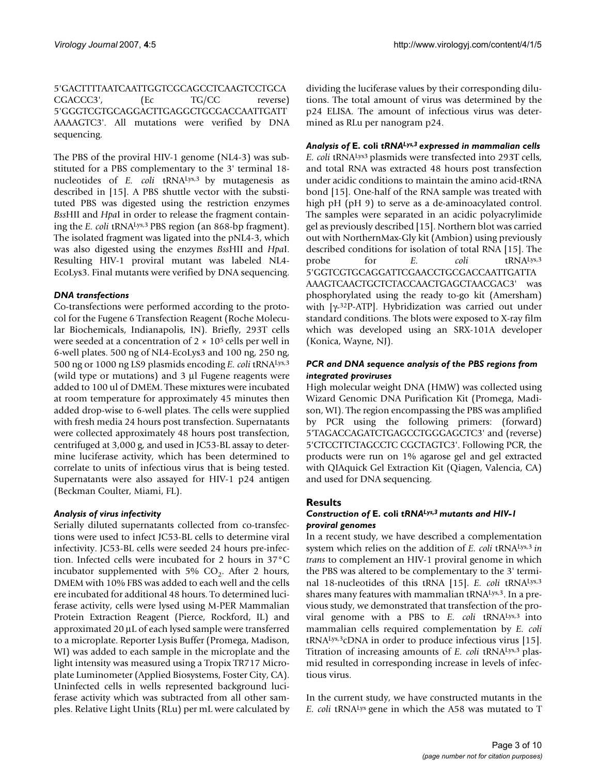5'GACTTTTAATCAATTGGTCGCAGCCTCAAGTCCTGCA CGACCC3', (Ec TG/CC reverse) 5'GGGTCGTGCAGGACTTGAGGCTGCGACCAATTGATT AAAAGTC3'. All mutations were verified by DNA sequencing.

The PBS of the proviral HIV-1 genome (NL4-3) was substituted for a PBS complementary to the 3' terminal 18 nucleotides of *E. coli* tRNALys,3 by mutagenesis as described in [15]. A PBS shuttle vector with the substituted PBS was digested using the restriction enzymes *Bss*HII and *Hpa*I in order to release the fragment containing the *E. coli* tRNALys,3 PBS region (an 868-bp fragment). The isolated fragment was ligated into the pNL4-3, which was also digested using the enzymes *Bss*HII and *Hpa*I. Resulting HIV-1 proviral mutant was labeled NL4- EcoLys3. Final mutants were verified by DNA sequencing.

### *DNA transfections*

Co-transfections were performed according to the protocol for the Fugene 6 Transfection Reagent (Roche Molecular Biochemicals, Indianapolis, IN). Briefly, 293T cells were seeded at a concentration of  $2 \times 10^5$  cells per well in 6-well plates. 500 ng of NL4-EcoLys3 and 100 ng, 250 ng, 500 ng or 1000 ng LS9 plasmids encoding *E. coli* tRNALys,3 (wild type or mutations) and 3 μl Fugene reagents were added to 100 ul of DMEM. These mixtures were incubated at room temperature for approximately 45 minutes then added drop-wise to 6-well plates. The cells were supplied with fresh media 24 hours post transfection. Supernatants were collected approximately 48 hours post transfection, centrifuged at 3,000 g, and used in JC53-BL assay to determine luciferase activity, which has been determined to correlate to units of infectious virus that is being tested. Supernatants were also assayed for HIV-1 p24 antigen (Beckman Coulter, Miami, FL).

### *Analysis of virus infectivity*

Serially diluted supernatants collected from co-transfections were used to infect JC53-BL cells to determine viral infectivity. JC53-BL cells were seeded 24 hours pre-infection. Infected cells were incubated for 2 hours in 37°C incubator supplemented with 5%  $CO<sub>2</sub>$ . After 2 hours, DMEM with 10% FBS was added to each well and the cells ere incubated for additional 48 hours. To determined luciferase activity, cells were lysed using M-PER Mammalian Protein Extraction Reagent (Pierce, Rockford, IL) and approximated 20 μL of each lysed sample were transferred to a microplate. Reporter Lysis Buffer (Promega, Madison, WI) was added to each sample in the microplate and the light intensity was measured using a Tropix TR717 Microplate Luminometer (Applied Biosystems, Foster City, CA). Uninfected cells in wells represented background luciferase activity which was subtracted from all other samples. Relative Light Units (RLu) per mL were calculated by dividing the luciferase values by their corresponding dilutions. The total amount of virus was determined by the p24 ELISA. The amount of infectious virus was determined as RLu per nanogram p24.

# *Analysis of* **E. coli** *tRNALys,3 expressed in mammalian cells*

*E. coli* tRNALys3 plasmids were transfected into 293T cells, and total RNA was extracted 48 hours post transfection under acidic conditions to maintain the amino acid-tRNA bond [15]. One-half of the RNA sample was treated with high pH (pH 9) to serve as a de-aminoacylated control. The samples were separated in an acidic polyacrylimide gel as previously described [15]. Northern blot was carried out with NorthernMax-Gly kit (Ambion) using previously described conditions for isolation of total RNA [15]. The probe for *E. coli* tRNA<sup>Lys,3</sup> 5'GGTCGTGCAGGATTCGAACCTGCGACCAATTGATTA AAAGTCAACTGCTCTACCAACTGAGCTAACGAC3' was phosphorylated using the ready to-go kit (Amersham) with [γ-32P-ATP]. Hybridization was carried out under standard conditions. The blots were exposed to X-ray film which was developed using an SRX-101A developer (Konica, Wayne, NJ).

## *PCR and DNA sequence analysis of the PBS regions from integrated proviruses*

High molecular weight DNA (HMW) was collected using Wizard Genomic DNA Purification Kit (Promega, Madison, WI). The region encompassing the PBS was amplified by PCR using the following primers: (forward) 5'TAGACCAGATCTGAGCCTGGGAGCTC3' and (reverse) 5'CTCCTTCTAGCCTC CGCTAGTC3'. Following PCR, the products were run on 1% agarose gel and gel extracted with QIAquick Gel Extraction Kit (Qiagen, Valencia, CA) and used for DNA sequencing.

# **Results**

### *Construction of* **E. coli** *tRNALys,3 mutants and HIV-1 proviral genomes*

In a recent study, we have described a complementation system which relies on the addition of *E. coli* tRNALys,3 *in trans* to complement an HIV-1 proviral genome in which the PBS was altered to be complementary to the 3' terminal 18-nucleotides of this tRNA [15]. *E. coli* tRNALys,3 shares many features with mammalian tRNALys,3. In a previous study, we demonstrated that transfection of the proviral genome with a PBS to *E. coli* tRNALys,3 into mammalian cells required complementation by *E. coli* tRNALys,3cDNA in order to produce infectious virus [15]. Titration of increasing amounts of *E. coli* tRNALys,3 plasmid resulted in corresponding increase in levels of infectious virus.

In the current study, we have constructed mutants in the *E. coli* tRNALys gene in which the A58 was mutated to T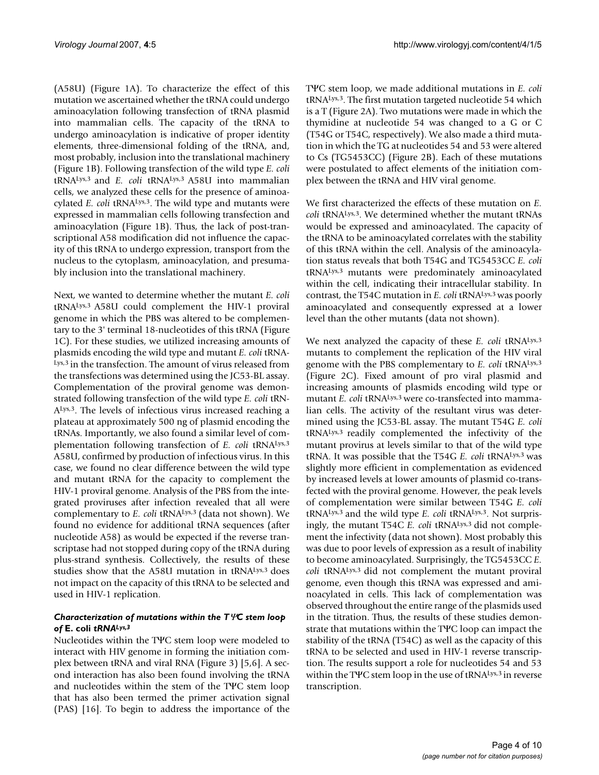(A58U) (Figure 1A). To characterize the effect of this mutation we ascertained whether the tRNA could undergo aminoacylation following transfection of tRNA plasmid into mammalian cells. The capacity of the tRNA to undergo aminoacylation is indicative of proper identity elements, three-dimensional folding of the tRNA, and, most probably, inclusion into the translational machinery (Figure 1B). Following transfection of the wild type *E. coli* tRNALys,3 and *E. coli* tRNALys,3 A58U into mammalian cells, we analyzed these cells for the presence of aminoacylated *E. coli* tRNALys,3. The wild type and mutants were expressed in mammalian cells following transfection and aminoacylation (Figure 1B). Thus, the lack of post-transcriptional A58 modification did not influence the capacity of this tRNA to undergo expression, transport from the nucleus to the cytoplasm, aminoacylation, and presumably inclusion into the translational machinery.

Next, we wanted to determine whether the mutant *E. coli* tRNALys,3 A58U could complement the HIV-1 proviral genome in which the PBS was altered to be complementary to the 3' terminal 18-nucleotides of this tRNA (Figure 1C). For these studies, we utilized increasing amounts of plasmids encoding the wild type and mutant *E. coli* tRNA-Lys,3 in the transfection. The amount of virus released from the transfections was determined using the JC53-BL assay. Complementation of the proviral genome was demonstrated following transfection of the wild type *E. coli* tRN-ALys,3. The levels of infectious virus increased reaching a plateau at approximately 500 ng of plasmid encoding the tRNAs. Importantly, we also found a similar level of complementation following transfection of *E. coli* tRNALys,3 A58U, confirmed by production of infectious virus. In this case, we found no clear difference between the wild type and mutant tRNA for the capacity to complement the HIV-1 proviral genome. Analysis of the PBS from the integrated proviruses after infection revealed that all were complementary to *E. coli* tRNALys,3 (data not shown). We found no evidence for additional tRNA sequences (after nucleotide A58) as would be expected if the reverse transcriptase had not stopped during copy of the tRNA during plus-strand synthesis. Collectively, the results of these studies show that the A58U mutation in tRNALys,3 does not impact on the capacity of this tRNA to be selected and used in HIV-1 replication.

#### *Characterization of mutations within the T*Ψ*C stem loop of* **E. coli** *tRNALys,3*

Nucleotides within the TΨC stem loop were modeled to interact with HIV genome in forming the initiation complex between tRNA and viral RNA (Figure 3) [5,[6\]](#page-8-0). A second interaction has also been found involving the tRNA and nucleotides within the stem of the TΨC stem loop that has also been termed the primer activation signal (PAS) [16]. To begin to address the importance of the TΨC stem loop, we made additional mutations in *E. coli* tRNALys,3. The first mutation targeted nucleotide 54 which is a T (Figure 2A). Two mutations were made in which the thymidine at nucleotide 54 was changed to a G or C (T54G or T54C, respectively). We also made a third mutation in which the TG at nucleotides 54 and 53 were altered to Cs (TG5453CC) (Figure 2B). Each of these mutations were postulated to affect elements of the initiation complex between the tRNA and HIV viral genome.

We first characterized the effects of these mutation on *E. coli* tRNALys,3. We determined whether the mutant tRNAs would be expressed and aminoacylated. The capacity of the tRNA to be aminoacylated correlates with the stability of this tRNA within the cell. Analysis of the aminoacylation status reveals that both T54G and TG5453CC *E. coli* tRNALys,3 mutants were predominately aminoacylated within the cell, indicating their intracellular stability. In contrast, the T54C mutation in *E. coli* tRNALys,3 was poorly aminoacylated and consequently expressed at a lower level than the other mutants (data not shown).

We next analyzed the capacity of these *E. coli* tRNA<sup>Lys,3</sup> mutants to complement the replication of the HIV viral genome with the PBS complementary to *E. coli* tRNALys,3 (Figure 2C). Fixed amount of pro viral plasmid and increasing amounts of plasmids encoding wild type or mutant *E. coli* tRNALys,3 were co-transfected into mammalian cells. The activity of the resultant virus was determined using the JC53-BL assay. The mutant T54G *E. coli* tRNALys,3 readily complemented the infectivity of the mutant provirus at levels similar to that of the wild type tRNA. It was possible that the T54G *E. coli* tRNALys,3 was slightly more efficient in complementation as evidenced by increased levels at lower amounts of plasmid co-transfected with the proviral genome. However, the peak levels of complementation were similar between T54G *E. coli* tRNALys,3 and the wild type *E. coli* tRNALys,3. Not surprisingly, the mutant T54C *E. coli* tRNA<sup>Lys,3</sup> did not complement the infectivity (data not shown). Most probably this was due to poor levels of expression as a result of inability to become aminoacylated. Surprisingly, the TG5453CC *E. coli* tRNALys,3 did not complement the mutant proviral genome, even though this tRNA was expressed and aminoacylated in cells. This lack of complementation was observed throughout the entire range of the plasmids used in the titration. Thus, the results of these studies demonstrate that mutations within the TΨC loop can impact the stability of the tRNA (T54C) as well as the capacity of this tRNA to be selected and used in HIV-1 reverse transcription. The results support a role for nucleotides 54 and 53 within the TΨC stem loop in the use of tRNALys,3 in reverse transcription.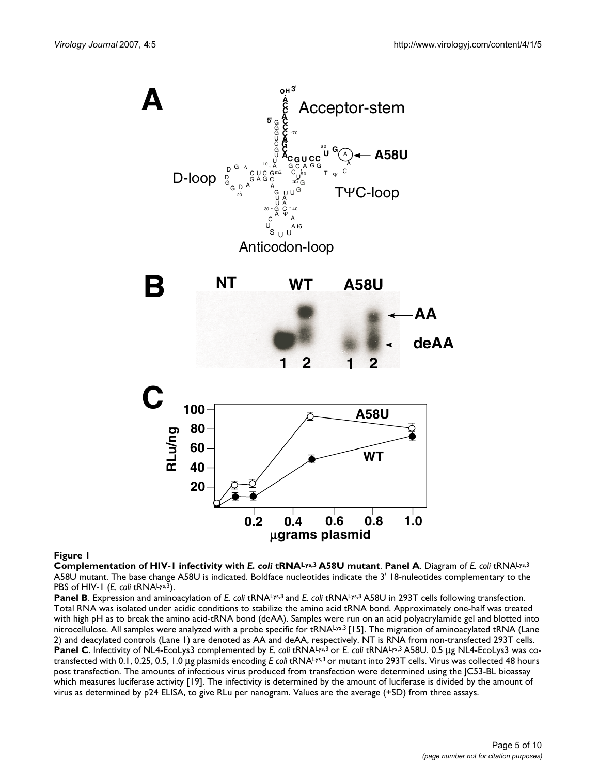

#### **Figure 1**

**Complementation of HIV-1 infectivity with** *E. coli* **tRNALys,3 A58U mutant**. **Panel A**. Diagram of *E. coli* tRNALys,3 A58U mutant. The base change A58U is indicated. Boldface nucleotides indicate the 3' 18-nuleotides complementary to the PBS of HIV-1 (*E. coli* tRNA<sup>Lys,3</sup>).

Panel B. Expression and aminoacylation of *E. coli* tRNALys,<sup>3</sup> and *E. coli* tRNALys,<sup>3</sup> A58U in 293T cells following transfection. Total RNA was isolated under acidic conditions to stabilize the amino acid tRNA bond. Approximately one-half was treated with high pH as to break the amino acid-tRNA bond (deAA). Samples were run on an acid polyacrylamide gel and blotted into nitrocellulose. All samples were analyzed with a probe specific for tRNALys,<sup>3</sup> [15]. The migration of aminoacylated tRNA (Lane 2) and deacylated controls (Lane 1) are denoted as AA and deAA, respectively. NT is RNA from non-transfected 293T cells. **Panel C**. Infectivity of NL4-EcoLys3 complemented by *E. coli* tRNALys,3 or *E. coli* tRNALys,3 A58U. 0.5 μg NL4-EcoLys3 was cotransfected with 0.1, 0.25, 0.5, 1.0 μg plasmids encoding *E coli* tRNALys,3 or mutant into 293T cells. Virus was collected 48 hours post transfection. The amounts of infectious virus produced from transfection were determined using the JC53-BL bioassay which measures luciferase activity [19]. The infectivity is determined by the amount of luciferase is divided by the amount of virus as determined by p24 ELISA, to give RLu per nanogram. Values are the average (+SD) from three assays.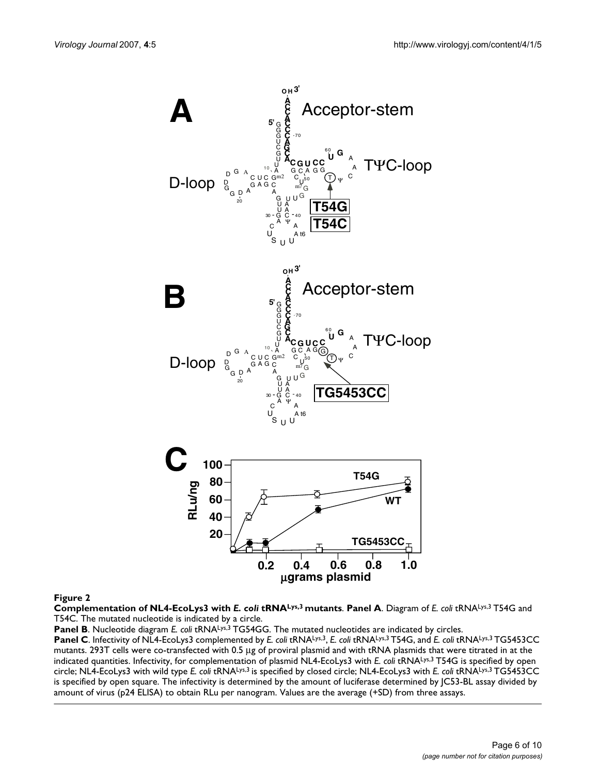

**Figure 2** 

**Complementation of NL4-EcoLys3 with** *E. coli* **tRNALys,3 mutants**. **Panel A**. Diagram of *E. coli* tRNALys,3 T54G and T54C. The mutated nucleotide is indicated by a circle.

Panel B. Nucleotide diagram *E. coli* tRNA<sup>Lys,3</sup> TG54GG. The mutated nucleotides are indicated by circles.

**Panel C**. Infectivity of NL4-EcoLys3 complemented by *E. coli* tRNALys,3, *E. coli* tRNALys,3 T54G, and *E. coli* tRNALys,3 TG5453CC mutants. 293T cells were co-transfected with 0.5 μg of proviral plasmid and with tRNA plasmids that were titrated in at the indicated quantities. Infectivity, for complementation of plasmid NL4-EcoLys3 with *E. coli* tRNALys,3 T54G is specified by open circle; NL4-EcoLys3 with wild type *E. coli* tRNALys,3 is specified by closed circle; NL4-EcoLys3 with *E. coli* tRNALys,3 TG5453CC is specified by open square. The infectivity is determined by the amount of luciferase determined by JC53-BL assay divided by amount of virus (p24 ELISA) to obtain RLu per nanogram. Values are the average (+SD) from three assays.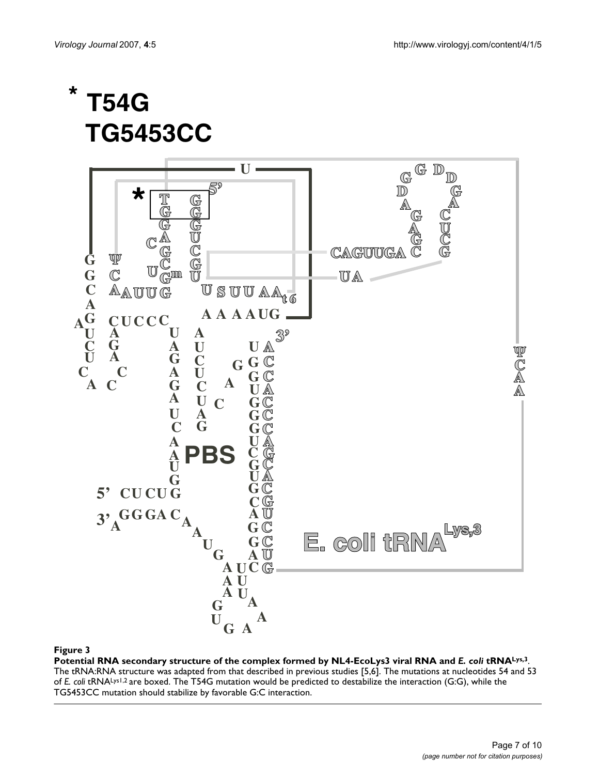# **\* T54G TG5453CC**



#### Potential RNA secondary structure of the co **Figure 3** mplex formed by NL4-EcoLys3 viral RNA and *E. coli* tRNALys,3

**Potential RNA secondary structure of the complex formed by NL4-EcoLys3 viral RNA and** *E. coli* **tRNALys,3**. The tRNA:RNA structure was adapted from that described in previous studies [5,6]. The mutations at nucleotides 54 and 53 of *E. coli* tRNALys1,2 are boxed. The T54G mutation would be predicted to destabilize the interaction (G:G), while the TG5453CC mutation should stabilize by favorable G:C interaction.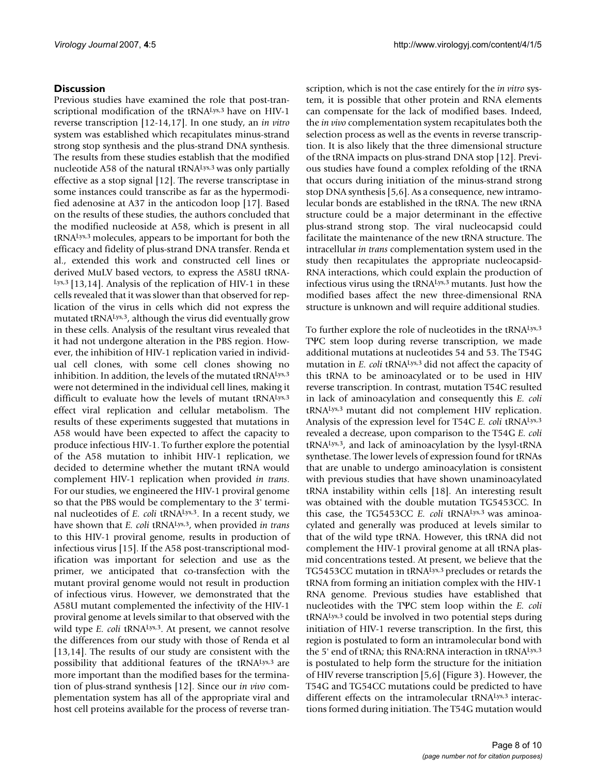# **Discussion**

Previous studies have examined the role that post-transcriptional modification of the tRNALys,3 have on HIV-1 reverse transcription [12-14,17]. In one study, an *in vitro* system was established which recapitulates minus-strand strong stop synthesis and the plus-strand DNA synthesis. The results from these studies establish that the modified nucleotide A58 of the natural tRNALys,3 was only partially effective as a stop signal [12]. The reverse transcriptase in some instances could transcribe as far as the hypermodified adenosine at A37 in the anticodon loop [17]. Based on the results of these studies, the authors concluded that the modified nucleoside at A58, which is present in all tRNALys,3 molecules, appears to be important for both the efficacy and fidelity of plus-strand DNA transfer. Renda et al., extended this work and constructed cell lines or derived MuLV based vectors, to express the A58U tRNA-Lys, 3 [13,14]. Analysis of the replication of HIV-1 in these cells revealed that it was slower than that observed for replication of the virus in cells which did not express the mutated tRNALys,3, although the virus did eventually grow in these cells. Analysis of the resultant virus revealed that it had not undergone alteration in the PBS region. However, the inhibition of HIV-1 replication varied in individual cell clones, with some cell clones showing no inhibition. In addition, the levels of the mutated tRNALys,3 were not determined in the individual cell lines, making it difficult to evaluate how the levels of mutant tRNALys,3 effect viral replication and cellular metabolism. The results of these experiments suggested that mutations in A58 would have been expected to affect the capacity to produce infectious HIV-1. To further explore the potential of the A58 mutation to inhibit HIV-1 replication, we decided to determine whether the mutant tRNA would complement HIV-1 replication when provided *in trans*. For our studies, we engineered the HIV-1 proviral genome so that the PBS would be complementary to the 3' terminal nucleotides of *E. coli* tRNALys,3. In a recent study, we have shown that *E. coli* tRNALys,3, when provided *in trans* to this HIV-1 proviral genome, results in production of infectious virus [15]. If the A58 post-transcriptional modification was important for selection and use as the primer, we anticipated that co-transfection with the mutant proviral genome would not result in production of infectious virus. However, we demonstrated that the A58U mutant complemented the infectivity of the HIV-1 proviral genome at levels similar to that observed with the wild type *E. coli* tRNA<sup>Lys,3</sup>. At present, we cannot resolve the differences from our study with those of Renda et al [13,14]. The results of our study are consistent with the possibility that additional features of the tRNALys,3 are more important than the modified bases for the termination of plus-strand synthesis [12]. Since our *in vivo* complementation system has all of the appropriate viral and host cell proteins available for the process of reverse transcription, which is not the case entirely for the *in vitro* system, it is possible that other protein and RNA elements can compensate for the lack of modified bases. Indeed, the *in vivo* complementation system recapitulates both the selection process as well as the events in reverse transcription. It is also likely that the three dimensional structure of the tRNA impacts on plus-strand DNA stop [12]. Previous studies have found a complex refolding of the tRNA that occurs during initiation of the minus-strand strong stop DNA synthesis [5,[6\]](#page-8-0). As a consequence, new intramolecular bonds are established in the tRNA. The new tRNA structure could be a major determinant in the effective plus-strand strong stop. The viral nucleocapsid could facilitate the maintenance of the new tRNA structure. The intracellular *in trans* complementation system used in the study then recapitulates the appropriate nucleocapsid-RNA interactions, which could explain the production of infectious virus using the tRNALys,3 mutants. Just how the modified bases affect the new three-dimensional RNA structure is unknown and will require additional studies.

To further explore the role of nucleotides in the tRNALys,3 TΨC stem loop during reverse transcription, we made additional mutations at nucleotides 54 and 53. The T54G mutation in *E. coli* tRNALys,3 did not affect the capacity of this tRNA to be aminoacylated or to be used in HIV reverse transcription. In contrast, mutation T54C resulted in lack of aminoacylation and consequently this *E. coli* tRNALys,3 mutant did not complement HIV replication. Analysis of the expression level for T54C *E. coli* tRNALys,3 revealed a decrease, upon comparison to the T54G *E. coli* tRNALys,3, and lack of aminoacylation by the lysyl-tRNA synthetase. The lower levels of expression found for tRNAs that are unable to undergo aminoacylation is consistent with previous studies that have shown unaminoacylated tRNA instability within cells [18]. An interesting result was obtained with the double mutation TG5453CC. In this case, the TG5453CC *E. coli* tRNALys,3 was aminoacylated and generally was produced at levels similar to that of the wild type tRNA. However, this tRNA did not complement the HIV-1 proviral genome at all tRNA plasmid concentrations tested. At present, we believe that the TG5453CC mutation in tRNALys,3 precludes or retards the tRNA from forming an initiation complex with the HIV-1 RNA genome. Previous studies have established that nucleotides with the TΨC stem loop within the *E. coli* tRNALys,3 could be involved in two potential steps during initiation of HIV-1 reverse transcription. In the first, this region is postulated to form an intramolecular bond with the 5' end of tRNA; this RNA:RNA interaction in tRNALys,3 is postulated to help form the structure for the initiation of HIV reverse transcription [5[,6\]](#page-8-0) (Figure 3). However, the T54G and TG54CC mutations could be predicted to have different effects on the intramolecular tRNALys,3 interactions formed during initiation. The T54G mutation would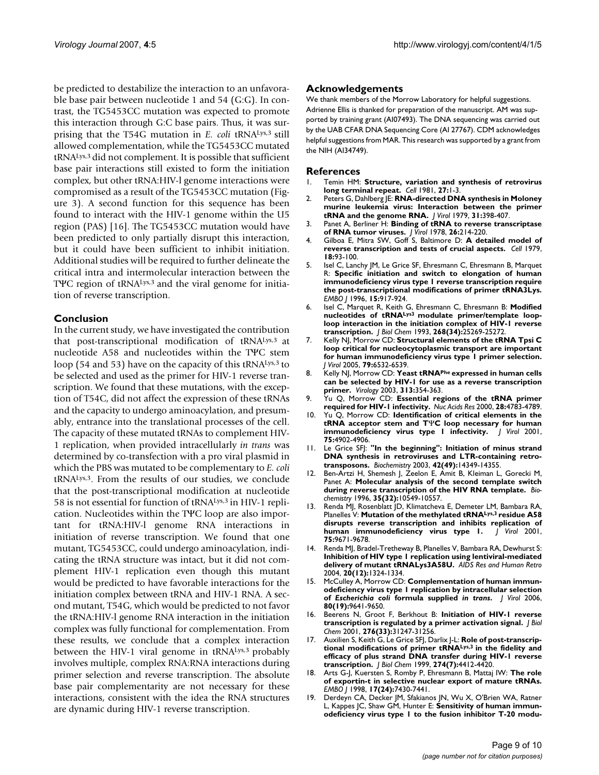be predicted to destabilize the interaction to an unfavorable base pair between nucleotide 1 and 54 (G:G). In contrast, the TG5453CC mutation was expected to promote this interaction through G:C base pairs. Thus, it was surprising that the T54G mutation in *E. coli* tRNALys,3 still allowed complementation, while the TG5453CC mutated tRNALys,3 did not complement. It is possible that sufficient base pair interactions still existed to form the initiation complex, but other tRNA:HIV-l genome interactions were compromised as a result of the TG5453CC mutation (Figure 3). A second function for this sequence has been found to interact with the HIV-1 genome within the U5 region (PAS) [16]. The TG5453CC mutation would have been predicted to only partially disrupt this interaction, but it could have been sufficient to inhibit initiation. Additional studies will be required to further delineate the critical intra and intermolecular interaction between the T<sup>Ψ</sup>C region of tRNA<sup>Lys,3</sup> and the viral genome for initiation of reverse transcription.

#### **Conclusion**

In the current study, we have investigated the contribution that post-transcriptional modification of tRNALys,3 at nucleotide A58 and nucleotides within the TΨC stem loop (54 and 53) have on the capacity of this tRNALys,3 to be selected and used as the primer for HIV-1 reverse transcription. We found that these mutations, with the exception of T54C, did not affect the expression of these tRNAs and the capacity to undergo aminoacylation, and presumably, entrance into the translational processes of the cell. The capacity of these mutated tRNAs to complement HIV-1 replication, when provided intracellularly *in trans* was determined by co-transfection with a pro viral plasmid in which the PBS was mutated to be complementary to *E. coli* tRNALys,3. From the results of our studies, we conclude that the post-transcriptional modification at nucleotide 58 is not essential for function of tRNALys,3 in HIV-1 replication. Nucleotides within the TΨC loop are also important for tRNA:HIV-l genome RNA interactions in initiation of reverse transcription. We found that one mutant, TG5453CC, could undergo aminoacylation, indicating the tRNA structure was intact, but it did not complement HIV-1 replication even though this mutant would be predicted to have favorable interactions for the initiation complex between tRNA and HIV-1 RNA. A second mutant, T54G, which would be predicted to not favor the tRNA:HIV-l genome RNA interaction in the initiation complex was fully functional for complementation. From these results, we conclude that a complex interaction between the HIV-1 viral genome in tRNALys,<sup>3</sup> probably involves multiple, complex RNA:RNA interactions during primer selection and reverse transcription. The absolute base pair complementarity are not necessary for these interactions, consistent with the idea the RNA structures are dynamic during HIV-1 reverse transcription.

### **Acknowledgements**

We thank members of the Morrow Laboratory for helpful suggestions. Adrienne Ellis is thanked for preparation of the manuscript. AM was supported by training grant (AI07493). The DNA sequencing was carried out by the UAB CFAR DNA Sequencing Core (AI 27767). CDM acknowledges helpful suggestions from MAR. This research was supported by a grant from the NIH (AI34749).

#### **References**

- 1. Temin HM: **[Structure, variation and synthesis of retrovirus](http://www.ncbi.nlm.nih.gov/entrez/query.fcgi?cmd=Retrieve&db=PubMed&dopt=Abstract&list_uids=7326747) [long terminal repeat.](http://www.ncbi.nlm.nih.gov/entrez/query.fcgi?cmd=Retrieve&db=PubMed&dopt=Abstract&list_uids=7326747)** *Cell* 1981, **27:**1-3.
- 2. Peters G, Dahlberg JE: **[RNA-directed DNA synthesis in Moloney](http://www.ncbi.nlm.nih.gov/entrez/query.fcgi?cmd=Retrieve&db=PubMed&dopt=Abstract&list_uids=480476) [murine leukemia virus: Interaction between the primer](http://www.ncbi.nlm.nih.gov/entrez/query.fcgi?cmd=Retrieve&db=PubMed&dopt=Abstract&list_uids=480476) [tRNA and the genome RNA.](http://www.ncbi.nlm.nih.gov/entrez/query.fcgi?cmd=Retrieve&db=PubMed&dopt=Abstract&list_uids=480476)** *J Virol* 1979, **31:**398-407.
- 3. Panet A, Berliner H: **[Binding of tRNA to reverse transcriptase](http://www.ncbi.nlm.nih.gov/entrez/query.fcgi?cmd=Retrieve&db=PubMed&dopt=Abstract&list_uids=77907) [of RNA tumor viruses.](http://www.ncbi.nlm.nih.gov/entrez/query.fcgi?cmd=Retrieve&db=PubMed&dopt=Abstract&list_uids=77907)** *J Virol* 1978, **26:**214-220.
- 4. Gilboa E, Mitra SW, Goff S, Baltimore D: **[A detailed model of](http://www.ncbi.nlm.nih.gov/entrez/query.fcgi?cmd=Retrieve&db=PubMed&dopt=Abstract&list_uids=509527) [reverse transcription and tests of crucial aspects.](http://www.ncbi.nlm.nih.gov/entrez/query.fcgi?cmd=Retrieve&db=PubMed&dopt=Abstract&list_uids=509527)** *Cell* 1979, **18:**93-100.
- 5. Isel C, Lanchy JM, Le Grice SF, Ehresmann C, Ehresmann B, Marquet R: **[Specific initiation and switch to elongation of human](http://www.ncbi.nlm.nih.gov/entrez/query.fcgi?cmd=Retrieve&db=PubMed&dopt=Abstract&list_uids=8631312) immunodeficiency virus type 1 reverse transcription require [the post-transcriptional modifications of primer tRNA3Lys.](http://www.ncbi.nlm.nih.gov/entrez/query.fcgi?cmd=Retrieve&db=PubMed&dopt=Abstract&list_uids=8631312)** *EMBO J* 1996, **15:**917-924.
- <span id="page-8-0"></span>6. Isel C, Marquet R, Keith G, Ehresmann C, Ehresmann B: **Modified nucleotides of tRNALys3 [modulate primer/template loop](http://www.ncbi.nlm.nih.gov/entrez/query.fcgi?cmd=Retrieve&db=PubMed&dopt=Abstract&list_uids=7503978)[loop interaction in the initiation complex of HIV-1 reverse](http://www.ncbi.nlm.nih.gov/entrez/query.fcgi?cmd=Retrieve&db=PubMed&dopt=Abstract&list_uids=7503978) [transcription.](http://www.ncbi.nlm.nih.gov/entrez/query.fcgi?cmd=Retrieve&db=PubMed&dopt=Abstract&list_uids=7503978)** *J Biol Chem* 1993, **268(34):**25269-25272.
- 7. Kelly NJ, Morrow CD: **[Structural elements of the tRNA Tpsi C](http://www.ncbi.nlm.nih.gov/entrez/query.fcgi?cmd=Retrieve&db=PubMed&dopt=Abstract&list_uids=15858038) [loop critical for nucleocytoplasmic transport are important](http://www.ncbi.nlm.nih.gov/entrez/query.fcgi?cmd=Retrieve&db=PubMed&dopt=Abstract&list_uids=15858038) for human immunodeficiency virus type 1 primer selection.** *J Virol* 2005, **79:**6532-6539.
- 8. Kelly NJ, Morrow CD: **Yeast tRNAPhe [expressed in human cells](http://www.ncbi.nlm.nih.gov/entrez/query.fcgi?cmd=Retrieve&db=PubMed&dopt=Abstract&list_uids=12954204) [can be selected by HIV-1 for use as a reverse transcription](http://www.ncbi.nlm.nih.gov/entrez/query.fcgi?cmd=Retrieve&db=PubMed&dopt=Abstract&list_uids=12954204) [primer.](http://www.ncbi.nlm.nih.gov/entrez/query.fcgi?cmd=Retrieve&db=PubMed&dopt=Abstract&list_uids=12954204)** *Virology* 2003, **313:**354-363.
- 9. Yu Q, Morrow CD: **Essential regions of the tRNA primer required for HIV-1 infectivity.** *Nuc Acids Res* 2000, **28:**4783-4789.
- 10. Yu Q, Morrow CD: **Identification of critical elements in the tRNA acceptor stem and T**Ψ**[C loop necessary for human](http://www.ncbi.nlm.nih.gov/entrez/query.fcgi?cmd=Retrieve&db=PubMed&dopt=Abstract&list_uids=11312362) [immunodeficiency virus type 1 infectivity.](http://www.ncbi.nlm.nih.gov/entrez/query.fcgi?cmd=Retrieve&db=PubMed&dopt=Abstract&list_uids=11312362)** *J Virol* 2001, **75:**4902-4906.
- 11. Le Grice SFJ: **["In the beginning": Initiation of minus strand](http://www.ncbi.nlm.nih.gov/entrez/query.fcgi?cmd=Retrieve&db=PubMed&dopt=Abstract&list_uids=14661945) [DNA synthesis in retroviruses and LTR-containing retro](http://www.ncbi.nlm.nih.gov/entrez/query.fcgi?cmd=Retrieve&db=PubMed&dopt=Abstract&list_uids=14661945)[transposons.](http://www.ncbi.nlm.nih.gov/entrez/query.fcgi?cmd=Retrieve&db=PubMed&dopt=Abstract&list_uids=14661945)** *Biochemistry* 2003, **42(49):**14349-14355.
- 12. Ben-Artzi H, Shemesh J, Zeelon E, Amit B, Kleiman L, Gorecki M, Panet A: **[Molecular analysis of the second template switch](http://www.ncbi.nlm.nih.gov/entrez/query.fcgi?cmd=Retrieve&db=PubMed&dopt=Abstract&list_uids=8756711) [during reverse transcription of the HIV RNA template.](http://www.ncbi.nlm.nih.gov/entrez/query.fcgi?cmd=Retrieve&db=PubMed&dopt=Abstract&list_uids=8756711)** *Biochemistry* 1996, **35(32):**10549-10557.
- 13. Renda MJ, Rosenblatt JD, Klimatcheva E, Demeter LM, Bambara RA, Planelles V: **Mutation of the methylated tRNALys,3 [residue A58](http://www.ncbi.nlm.nih.gov/entrez/query.fcgi?cmd=Retrieve&db=PubMed&dopt=Abstract&list_uids=11559799) [disrupts reverse transcription and inhibits replication of](http://www.ncbi.nlm.nih.gov/entrez/query.fcgi?cmd=Retrieve&db=PubMed&dopt=Abstract&list_uids=11559799) [human immunodeficiency virus type 1.](http://www.ncbi.nlm.nih.gov/entrez/query.fcgi?cmd=Retrieve&db=PubMed&dopt=Abstract&list_uids=11559799)** *J Virol* 2001, **75:**9671-9678.
- 14. Renda MJ, Bradel-Tretheway B, Planelles V, Bambara RA, Dewhurst S: **Inhibition of HIV type 1 replication using lentiviral-mediated delivery of mutant tRNALys3A58U.** *AIDS Res and Human Retro* 2004, **20(12):**1324-1334.
- 15. McCulley A, Morrow CD: **Complementation of human immunodeficiency virus type 1 replication by intracellular selection of** *Escherichia coli* **formula supplied** *in trans***[.](http://www.ncbi.nlm.nih.gov/entrez/query.fcgi?cmd=Retrieve&db=PubMed&dopt=Abstract&list_uids=16973568)** *J Virol* 2006, **80(19):**9641-9650.
- 16. Beerens N, Groot F, Berkhout B: **[Initiation of HIV-1 reverse](http://www.ncbi.nlm.nih.gov/entrez/query.fcgi?cmd=Retrieve&db=PubMed&dopt=Abstract&list_uids=11384976) [transcription is regulated by a primer activation signal.](http://www.ncbi.nlm.nih.gov/entrez/query.fcgi?cmd=Retrieve&db=PubMed&dopt=Abstract&list_uids=11384976)** *J Biol Chem* 2001, **276(33):**31247-31256.
- 17. Auxilien S, Keith G, Le Grice SFJ, Darlix J-L: **Role of post-transcriptional modifications of primer tRNALys,3 [in the fidelity and](http://www.ncbi.nlm.nih.gov/entrez/query.fcgi?cmd=Retrieve&db=PubMed&dopt=Abstract&list_uids=9933645) [efficacy of plus strand DNA transfer during HIV-1 reverse](http://www.ncbi.nlm.nih.gov/entrez/query.fcgi?cmd=Retrieve&db=PubMed&dopt=Abstract&list_uids=9933645) [transcription.](http://www.ncbi.nlm.nih.gov/entrez/query.fcgi?cmd=Retrieve&db=PubMed&dopt=Abstract&list_uids=9933645)** *J Biol Chem* 1999, **274(7):**4412-4420.
- 18. Arts G-J, Kuersten S, Romby P, Ehresmann B, Mattaj IW: **[The role](http://www.ncbi.nlm.nih.gov/entrez/query.fcgi?cmd=Retrieve&db=PubMed&dopt=Abstract&list_uids=9857198) [of exportin-t in selective nuclear export of mature tRNAs.](http://www.ncbi.nlm.nih.gov/entrez/query.fcgi?cmd=Retrieve&db=PubMed&dopt=Abstract&list_uids=9857198)** *EMBO J* 1998, **17(24):**7430-7441.
- 19. Derdeyn CA, Decker JM, Sfakianos JN, Wu X, O'Brien WA, Ratner L, Kappes JC, Shaw GM, Hunter E: **[Sensitivity of human immun](http://www.ncbi.nlm.nih.gov/entrez/query.fcgi?cmd=Retrieve&db=PubMed&dopt=Abstract&list_uids=10954535)[odeficiency virus type 1 to the fusion inhibitor T-20 modu](http://www.ncbi.nlm.nih.gov/entrez/query.fcgi?cmd=Retrieve&db=PubMed&dopt=Abstract&list_uids=10954535)-**